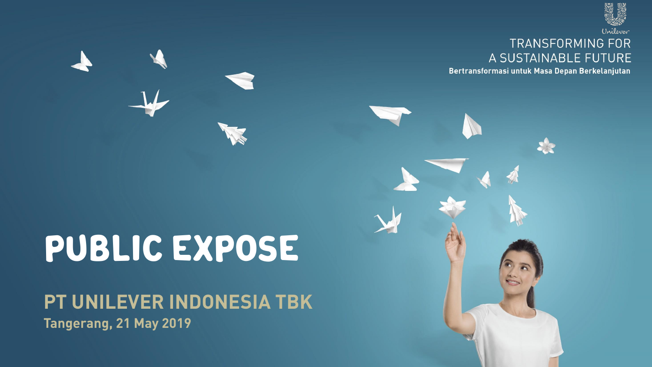

#### **TRANSFORMING FOR** A SUSTAINABLE FUTURE

Bertransformasi untuk Masa Depan Berkelanjutan

# **PUBLIC EXPOSE**

**PT UNILEVER INDONESIA TBK Tangerang, 21 May 2019**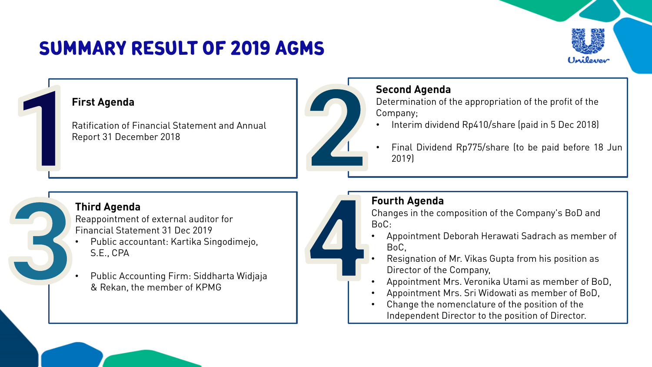### **SUMMARY RESULT OF 2019 AGMS**



#### **First Agenda**

Ratification of Financial Statement and Annual Report 31 December 2018



#### **Second Agenda**

Determination of the appropriation of the profit of the Company;

- Interim dividend Rp410/share (paid in 5 Dec 2018)
- Final Dividend Rp775/share (to be paid before 18 Jun 2019)



Reappointment of external auditor for Financial Statement 31 Dec 2019

- Public accountant: Kartika Singodimejo, S.E., CPA
- Public Accounting Firm: Siddharta Widjaja & Rekan, the member of KPMG



#### **Fourth Agenda**

Changes in the composition of the Company's BoD and BoC:

- Appointment Deborah Herawati Sadrach as member of BoC,
- Resignation of Mr. Vikas Gupta from his position as Director of the Company,
- Appointment Mrs. Veronika Utami as member of BoD,
- Appointment Mrs. Sri Widowati as member of BoD,
- Change the nomenclature of the position of the Independent Director to the position of Director.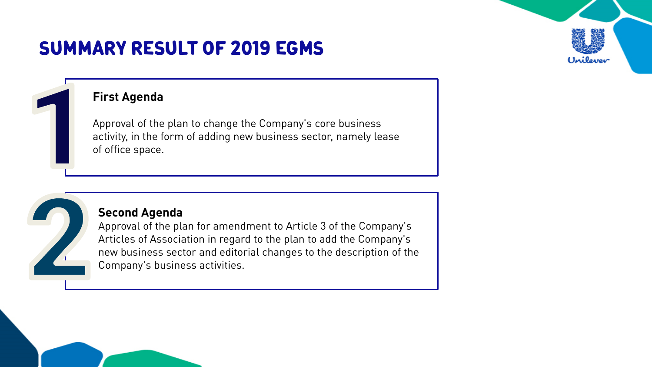### **SUMMARY RESULT OF 2019 EGMS**



#### **First Agenda**

Approval of the plan to change the Company's core business activity, in the form of adding new business sector, namely lease of office space.



#### **Second Agenda**

Approval of the plan for amendment to Article 3 of the Company's Articles of Association in regard to the plan to add the Company's new business sector and editorial changes to the description of the Company's business activities.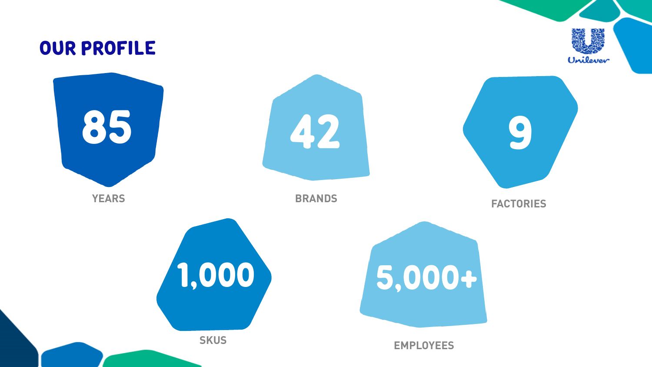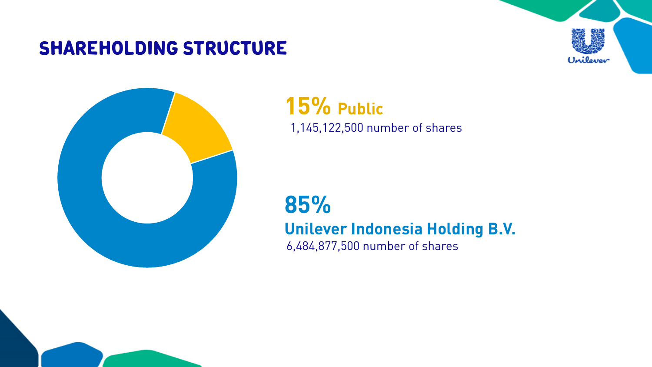### **SHAREHOLDING STRUCTURE**





**15% Public** 1,145,122,500 number of shares

## **85%**

#### **Unilever Indonesia Holding B.V.**

6,484,877,500 number of shares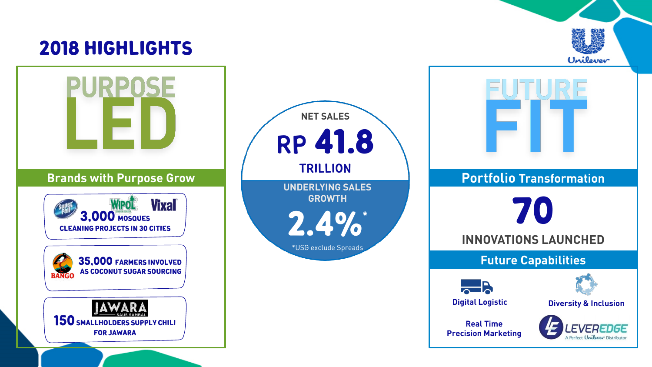### **2018 HIGHLIGHTS**







#### **Portfolio Transformation**

**70 INNOVATIONS LAUNCHED**

**Future Capabilities**





**Digital Logistic**

**Diversity & Inclusion**

**Real Time Precision Marketing**

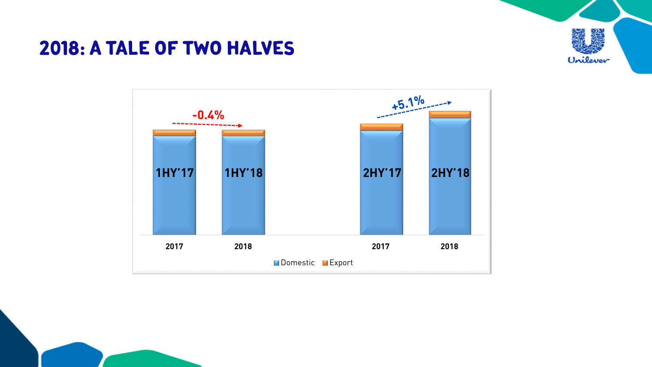

### **2018: A TALE OF TWO HALVES**



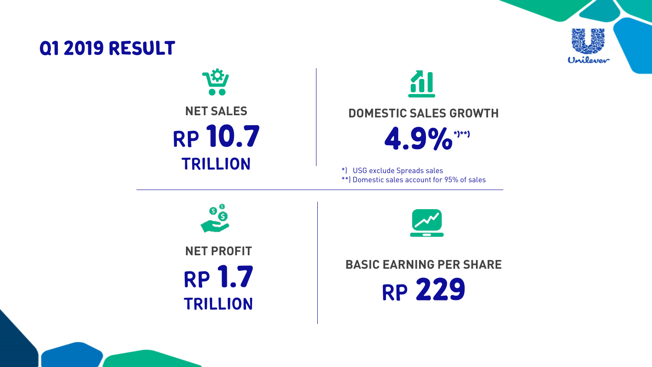### **Q1 2019 RESULT**



**NET SALES** RP **10.7 TRILLION** 

**DOMESTIC SALES GROWTH 4.9%\*)\*\*)**

11

\*) USG exclude Spreads sales \*\*) Domestic sales account for 95% of sales





### **BASIC EARNING PER SHARE** RP **229**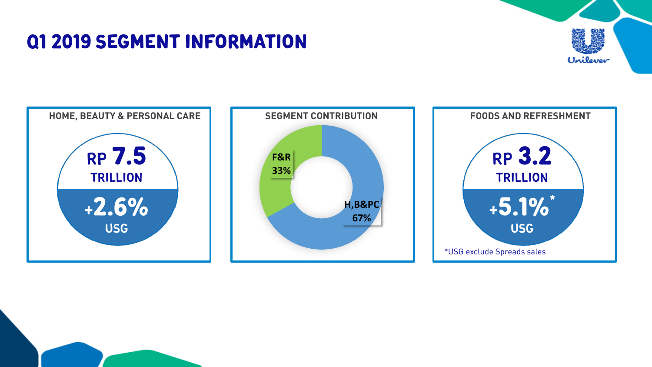### **Q1 2019 SEGMENT INFORMATION**